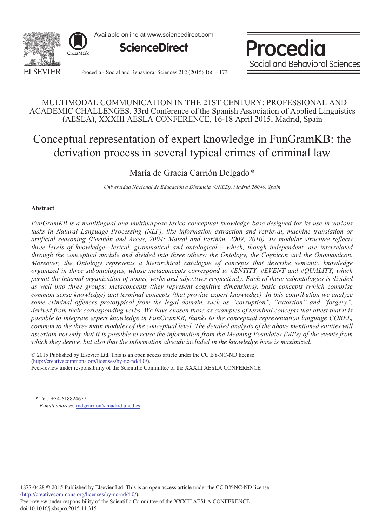

Available online at www.sciencedirect.com



Procedia Social and Behavioral Sciences

Procedia - Social and Behavioral Sciences 212 (2015) 166 - 173

### MULTIMODAL COMMUNICATION IN THE 21ST CENTURY: PROFESSIONAL AND ACADEMIC CHALLENGES. 33rd Conference of the Spanish Association of Applied Linguistics (AESLA), XXXIII AESLA CONFERENCE, 16-18 April 2015, Madrid, Spain

# Conceptual representation of expert knowledge in FunGramKB: the derivation process in several typical crimes of criminal law

## María de Gracia Carrión Delgado\*

*Universidad Nacional de Educación a Distancia (UNED), Madrid 28040, Spain*

#### **Abstract**

*FunGramKB is a multilingual and multipurpose lexico-conceptual knowledge-base designed for its use in various tasks in Natural Language Processing (NLP), like information extraction and retrieval, machine translation or artificial reasoning (Periñán and Arcas, 2004; Mairal and Periñán, 2009; 2010). Its modular structure reflects three levels of knowledge—lexical, grammatical and ontological— which, though independent, are interrelated through the conceptual module and divided into three others: the Ontology, the Cognicon and the Onomasticon. Moreover, the Ontology represents a hierarchical catalogue of concepts that describe semantic knowledge organized in three subontologies, whose metaconcepts correspond to #ENTITY, #EVENT and #QUALITY, which permit the internal organization of nouns, verbs and adjectives respectively. Each of these subontologies is divided as well into three groups: metaconcepts (they represent cognitive dimensions), basic concepts (which comprise common sense knowledge) and terminal concepts (that provide expert knowledge). In this contribution we analyze some criminal offences prototypical from the legal domain, such as "corruption", "extortion" and "forgery", derived from their corresponding verbs. We have chosen these as examples of terminal concepts that attest that it is possible to integrate expert knowledge in FunGramKB, thanks to the conceptual representation language COREL, common to the three main modules of the conceptual level. The detailed analysis of the above mentioned entities will ascertain not only that it is possible to reuse the information from the Meaning Postulates (MPs) of the events from which they derive, but also that the information already included in the knowledge base is maximized.*

 $\degree$  2015 Fublished by Elsevier Ltd. This is an open at (http://creativecommons.org/licenses/by-nc-nd/4.0/). Peer-review under responsibility of the Scientific Committee of the XXXIII AESLA CONFERENCE. Peer-review under responsibility of the Scientific Committee of the XXXIII AESLA CONFERENCE© 2015 Published by Elsevier Ltd. This is an open access article under the CC BY-NC-ND license

\* Tel.: +34-618824677 *E-mail address:* mdgcarrion@madrid.uned.es

1877-0428 © 2015 Published by Elsevier Ltd. This is an open access article under the CC BY-NC-ND license (http://creativecommons.org/licenses/by-nc-nd/4.0/).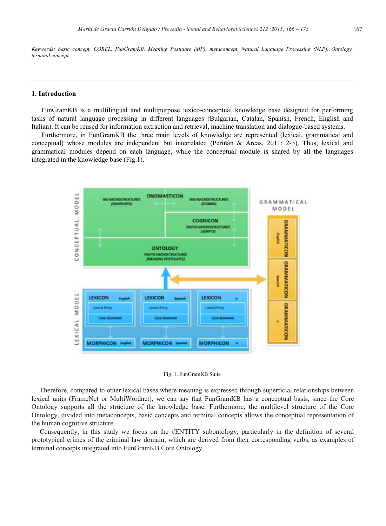*Keywords: basic concept, COREL, FunGramKB, Meaning Postulate (MP), metaconcept, Natural Language Processing (NLP), Ontology, terminal concept.*

#### **1. Introduction**

FunGramKB is a multilingual and multipurpose lexico-conceptual knowledge base designed for performing tasks of natural language processing in different languages (Bulgarian, Catalan, Spanish, French, English and Italian). It can be reused for information extraction and retrieval, machine translation and dialogue-based systems.

Furthermore, in FunGramKB the three main levels of knowledge are represented (lexical, grammatical and conceptual) whose modules are independent but interrelated (Periñán & Arcas, 2011: 2-3). Thus, lexical and grammatical modules depend on each language, while the conceptual module is shared by all the languages integrated in the knowledge base (Fig.1).



Fig. 1. FunGramKB Suite

Therefore, compared to other lexical bases where meaning is expressed through superficial relationships between lexical units (FrameNet or MultiWordnet), we can say that FunGramKB has a conceptual basis, since the Core Ontology supports all the structure of the knowledge base. Furthermore, the multilevel structure of the Core Ontology, divided into metaconcepts, basic concepts and terminal concepts allows the conceptual representation of the human cognitive structure.

Consequently, in this study we focus on the #ENTITY subontology, particularly in the definition of several prototypical crimes of the criminal law domain, which are derived from their corresponding verbs, as examples of terminal concepts integrated into FunGramKB Core Ontology.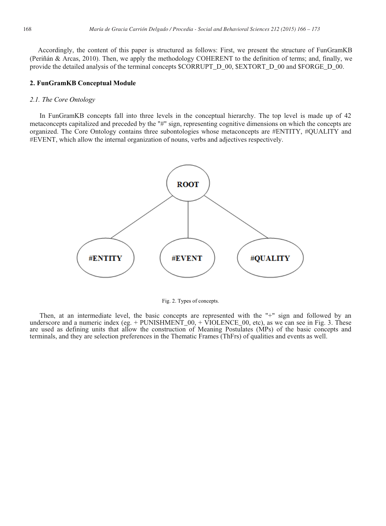Accordingly, the content of this paper is structured as follows: First, we present the structure of FunGramKB (Periñán & Arcas, 2010). Then, we apply the methodology COHERENT to the definition of terms; and, finally, we provide the detailed analysis of the terminal concepts \$CORRUPT\_D\_00, \$EXTORT\_D\_00 and \$FORGE\_D\_00.

#### **2. FunGramKB Conceptual Module**

#### *2.1. The Core Ontology*

In FunGramKB concepts fall into three levels in the conceptual hierarchy. The top level is made up of 42 metaconcepts capitalized and preceded by the "#" sign, representing cognitive dimensions on which the concepts are organized. The Core Ontology contains three subontologies whose metaconcepts are #ENTITY, #QUALITY and #EVENT, which allow the internal organization of nouns, verbs and adjectives respectively.



Fig. 2. Types of concepts.

Then, at an intermediate level, the basic concepts are represented with the "+" sign and followed by an underscore and a numeric index (eg. + PUNISHMENT\_00, + VIOLENCE\_00, etc), as we can see in Fig. 3. These are used as defining units that allow the construction of Meaning Postulates (MPs) of the basic concepts and terminals, and they are selection preferences in the Thematic Frames (ThFrs) of qualities and events as well.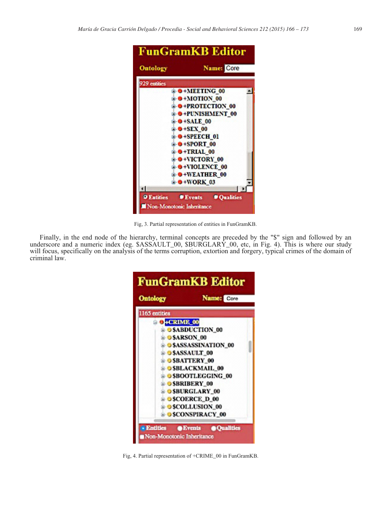

Fig, 3. Partial representation of entities in FunGramKB.

Finally, in the end node of the hierarchy, terminal concepts are preceded by the "\$" sign and followed by an underscore and a numeric index (eg. \$ASSAULT\_00, \$BURGLARY\_00, etc, in Fig. 4). This is where our study will focus, specifically on the analysis of the terms corruption, extortion and forgery, typical crimes of the domain of criminal law.

| <b>FunGramKB Editor</b>         |                                     |
|---------------------------------|-------------------------------------|
| <b>Ontology</b>                 | <b>Name:</b> Core                   |
| 1165 entities                   |                                     |
| <b>G+CRIME</b> 00               |                                     |
|                                 | <b>B-OSABDUCTION 00</b>             |
| <b>B-OSARSON 00</b>             |                                     |
|                                 | <b>E-OSASSASSINATION 00</b>         |
|                                 | <b>E-OSASSAULT_00</b>               |
|                                 | <b>SBATTERY 00</b>                  |
|                                 | <b>B-OSBLACKMAIL 00</b>             |
|                                 | <b>© \$BOOTLEGGING_00</b>           |
|                                 | <b>BOSBRIBERY 00</b>                |
|                                 | <b>@ OSBURGLARY_00</b>              |
|                                 | <b>BOSCOERCE D 00</b>               |
|                                 | <b>a-OSCOLLUSION_00</b>             |
|                                 | <b>B-9 \$CONSPIRACY_00</b>          |
| <b><i><b>B</b></i></b> Entities | <b>SEvents</b><br><b>@Qualities</b> |

Fig, 4. Partial representation of +CRIME\_00 in FunGramKB.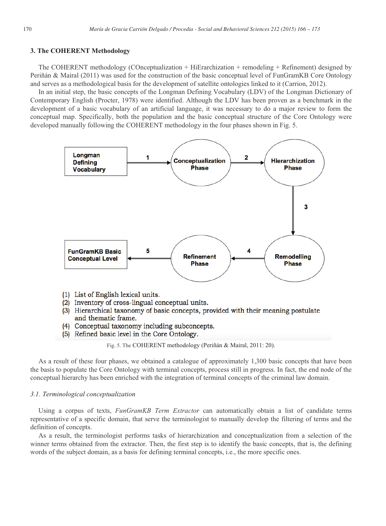#### **3. The COHERENT Methodology**

The COHERENT methodology (COnceptualization + HiErarchization + remodeling + Refinement) designed by Periñán & Mairal (2011) was used for the construction of the basic conceptual level of FunGramKB Core Ontology and serves as a methodological basis for the development of satellite ontologies linked to it (Carrion, 2012).

In an initial step, the basic concepts of the Longman Defining Vocabulary (LDV) of the Longman Dictionary of Contemporary English (Procter, 1978) were identified. Although the LDV has been proven as a benchmark in the development of a basic vocabulary of an artificial language, it was necessary to do a major review to form the conceptual map. Specifically, both the population and the basic conceptual structure of the Core Ontology were developed manually following the COHERENT methodology in the four phases shown in Fig. 5.



- (1) List of English lexical units.
- (2) Inventory of cross-lingual conceptual units.
- (3) Hierarchical taxonomy of basic concepts, provided with their meaning postulate and thematic frame.
- (4) Conceptual taxonomy including subconcepts.
- (5) Refined basic level in the Core Ontology.

Fig. 5. The COHERENT methodology (Periñán & Mairal, 2011: 20).

As a result of these four phases, we obtained a catalogue of approximately 1,300 basic concepts that have been the basis to populate the Core Ontology with terminal concepts, process still in progress. In fact, the end node of the conceptual hierarchy has been enriched with the integration of terminal concepts of the criminal law domain.

#### *3.1. Terminological conceptualization*

Using a corpus of texts, *FunGramKB Term Extractor* can automatically obtain a list of candidate terms representative of a specific domain, that serve the terminologist to manually develop the filtering of terms and the definition of concepts.

As a result, the terminologist performs tasks of hierarchization and conceptualization from a selection of the winner terms obtained from the extractor. Then, the first step is to identify the basic concepts, that is, the defining words of the subject domain, as a basis for defining terminal concepts, i.e., the more specific ones.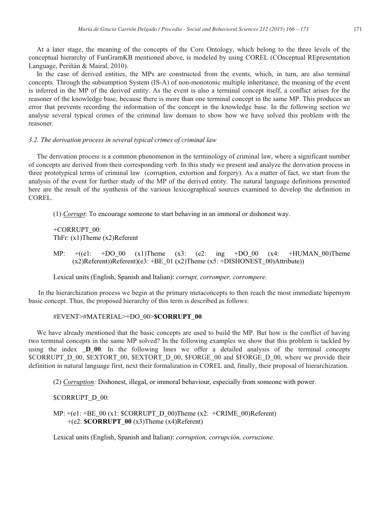At a later stage, the meaning of the concepts of the Core Ontology, which belong to the three levels of the conceptual hierarchy of FunGramKB mentioned above, is modeled by using COREL (COnceptual REpresentation Language, Periñán & Mairal, 2010).

In the case of derived entities, the MPs are constructed from the events, which, in turn, are also terminal concepts. Through the subsumption System (IS-A) of non-monotonic multiple inheritance, the meaning of the event is inferred in the MP of the derived entity. As the event is also a terminal concept itself, a conflict arises for the reasoner of the knowledge base, because there is more than one terminal concept in the same MP. This produces an error that prevents recording the information of the concept in the knowledge base. In the following section we analyse several typical crimes of the criminal law domain to show how we have solved this problem with the reasoner.

#### *3.2. The derivation process in several typical crimes of criminal law*

The derivation process is a common phenomenon in the terminology of criminal law, where a significant number of concepts are derived from their corresponding verb. In this study we present and analyze the derivation process in three prototypical terms of criminal law (corruption, extortion and forgery). As a matter of fact, we start from the analysis of the event for further study of the MP of the derived entity. The natural language definitions presented here are the result of the synthesis of the various lexicographical sources examined to develop the definition in COREL.

(1) *Corrupt*: To encourage someone to start behaving in an immoral or dishonest way.

+CORRUPT\_00: ThFr: (x1)Theme (x2)Referent

MP:  $+(e1: +DO 00 (x1)$ Theme  $(x3: (e2: ing +DO 00 (x4: +HUMAN 00)$ Theme (x2)Referent))Referent)(e3: +BE\_01 (x2)Theme (x5: +DISHONEST\_00)Attribute))

Lexical units (English, Spanish and Italian): *corrupt, corromper, corrompere.*

In the hierarchization process we begin at the primary metaconcepts to then reach the most immediate hipernym basic concept. Thus, the proposed hierarchy of this term is described as follows:

#### #EVENT>#MATERIAL>+DO\_00>**\$CORRUPT\_00**

We have already mentioned that the basic concepts are used to build the MP. But how is the conflict of having two terminal concepts in the same MP solved? In the following examples we show that this problem is tackled by using the index **\_D\_00**. In the following lines we offer a detailed analysis of the terminal concepts \$CORRUPT\_D\_00, \$EXTORT\_00, \$EXTORT\_D\_00, \$FORGE\_00 and \$FORGE\_D\_00, where we provide their definition in natural language first, next their formalization in COREL and, finally, their proposal of hierarchization.

(2) *Corruption:* Dishonest, illegal, or immoral behaviour, especially from someone with power.

#### \$CORRUPT\_D\_00:

MP:  $+(e1: +BE_00(x1: SCORRUPT_D_00)$ Theme (x2: +CRIME\_00)Referent) +(e2: **\$CORRUPT\_00** (x3)Theme (x4)Referent)

Lexical units (English, Spanish and Italian): *corruption, corrupción, corruzione.*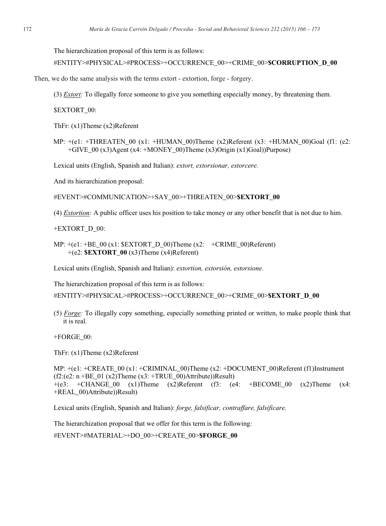The hierarchization proposal of this term is as follows:

```
#ENTITY>#PHYSICAL>#PROCESS>+OCCURRENCE_00>+CRIME_00>$CORRUPTION_D_00
```
Then, we do the same analysis with the terms extort - extortion, forge - forgery.

(3) *Extort:* To illegally force someone to give you something especially money, by threatening them.

\$EXTORT\_00:

ThFr: (x1)Theme (x2)Referent

MP:  $+(e1: +THREATEN 00 (x1: +HUMAN 00)Thene (x2)Referent (x3: +HUMAN 00)Goal (f1: (e2:$ +GIVE\_00 (x3)Agent (x4: +MONEY\_00)Theme (x3)Origin (x1)Goal))Purpose)

Lexical units (English, Spanish and Italian): *extort, extorsionar, estorcere.*

And its hierarchization proposal:

#EVENT>#COMMUNICATION>+SAY\_00>+THREATEN\_00>**\$EXTORT\_00**

(4) *Extortion:* A public officer uses his position to take money or any other benefit that is not due to him.

+EXTORT\_D\_00:

MP:  $+(e1: +BE\_00 (x1: **SEXTORT** D_00)$ Theme (x2:  $+CRIME\_00)$ Referent) +(e2: **\$EXTORT\_00** (x3)Theme (x4)Referent)

Lexical units (English, Spanish and Italian): *extortion, extorsión, estorsione.*

The hierarchization proposal of this term is as follows:

#ENTITY>#PHYSICAL>#PROCESS>+OCCURRENCE\_00>+CRIME\_00>**\$EXTORT\_D\_00**

(5) *Forge:* To illegally copy something, especially something printed or written, to make people think that it is real.

+FORGE\_00:

ThFr: (x1)Theme (x2)Referent

MP:  $+(e1: +CREATE 00 (x1: +CRIMINAL 00)$ Theme  $(x2: +DOCUMENT 00)$ Referent (f1)Instrument  $(f2:(e2: n + BE_01 (x2))$ Theme  $(x3: +TRUE_00)$ Attribute))Result)  $+(e3: +CHANGE_00)(x1)$ Theme  $(x2)$ Referent (f3:  $(e4: +BECOME_00)(x2)$ Theme  $(x4:$ +REAL\_00)Attribute))Result)

Lexical units (English, Spanish and Italian): *forge, falsificar, contraffare, falsificare.*

The hierarchization proposal that we offer for this term is the following:

#EVENT>#MATERIAL>+DO\_00>+CREATE\_00>**\$FORGE\_00**